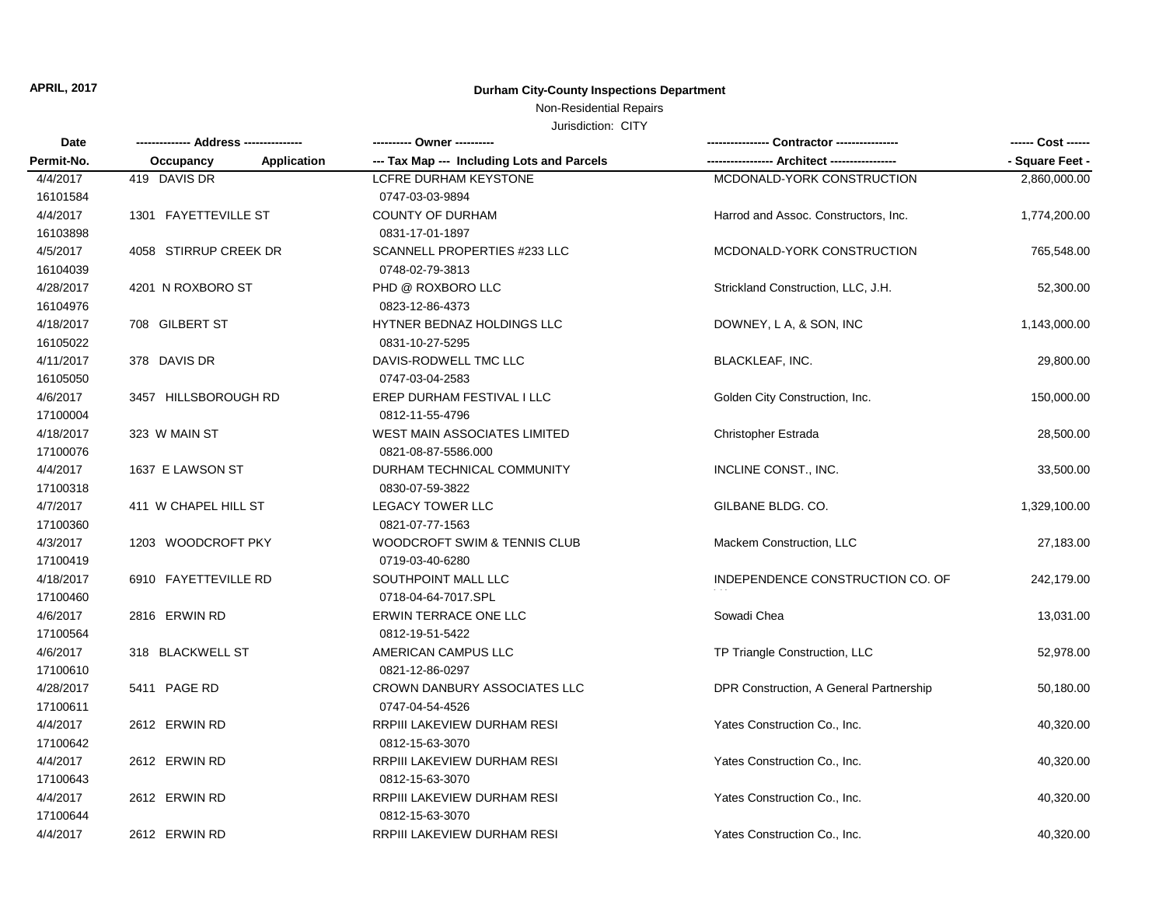#### Non-Residential Repairs

| <b>Date</b> |                       |                    | ---------- Owner ----------                |                                         | ------ Cost ------ |
|-------------|-----------------------|--------------------|--------------------------------------------|-----------------------------------------|--------------------|
| Permit-No.  | Occupancy             | <b>Application</b> | --- Tax Map --- Including Lots and Parcels |                                         | - Square Feet -    |
| 4/4/2017    | 419 DAVIS DR          |                    | <b>LCFRE DURHAM KEYSTONE</b>               | MCDONALD-YORK CONSTRUCTION              | 2,860,000.00       |
| 16101584    |                       |                    | 0747-03-03-9894                            |                                         |                    |
| 4/4/2017    | 1301 FAYETTEVILLE ST  |                    | COUNTY OF DURHAM                           | Harrod and Assoc. Constructors, Inc.    | 1,774,200.00       |
| 16103898    |                       |                    | 0831-17-01-1897                            |                                         |                    |
| 4/5/2017    | 4058 STIRRUP CREEK DR |                    | <b>SCANNELL PROPERTIES #233 LLC</b>        | MCDONALD-YORK CONSTRUCTION              | 765,548.00         |
| 16104039    |                       |                    | 0748-02-79-3813                            |                                         |                    |
| 4/28/2017   | 4201 N ROXBORO ST     |                    | PHD @ ROXBORO LLC                          | Strickland Construction, LLC, J.H.      | 52,300.00          |
| 16104976    |                       |                    | 0823-12-86-4373                            |                                         |                    |
| 4/18/2017   | 708 GILBERT ST        |                    | HYTNER BEDNAZ HOLDINGS LLC                 | DOWNEY, L A, & SON, INC                 | 1,143,000.00       |
| 16105022    |                       |                    | 0831-10-27-5295                            |                                         |                    |
| 4/11/2017   | 378 DAVIS DR          |                    | DAVIS-RODWELL TMC LLC                      | <b>BLACKLEAF, INC.</b>                  | 29,800.00          |
| 16105050    |                       |                    | 0747-03-04-2583                            |                                         |                    |
| 4/6/2017    | 3457 HILLSBOROUGH RD  |                    | EREP DURHAM FESTIVAL I LLC                 | Golden City Construction, Inc.          | 150,000.00         |
| 17100004    |                       |                    | 0812-11-55-4796                            |                                         |                    |
| 4/18/2017   | 323 W MAIN ST         |                    | <b>WEST MAIN ASSOCIATES LIMITED</b>        | Christopher Estrada                     | 28,500.00          |
| 17100076    |                       |                    | 0821-08-87-5586.000                        |                                         |                    |
| 4/4/2017    | 1637 E LAWSON ST      |                    | DURHAM TECHNICAL COMMUNITY                 | INCLINE CONST., INC.                    | 33,500.00          |
| 17100318    |                       |                    | 0830-07-59-3822                            |                                         |                    |
| 4/7/2017    | 411 W CHAPEL HILL ST  |                    | <b>LEGACY TOWER LLC</b>                    | GILBANE BLDG. CO.                       | 1,329,100.00       |
| 17100360    |                       |                    | 0821-07-77-1563                            |                                         |                    |
| 4/3/2017    | 1203 WOODCROFT PKY    |                    | WOODCROFT SWIM & TENNIS CLUB               | Mackem Construction, LLC                | 27,183.00          |
| 17100419    |                       |                    | 0719-03-40-6280                            |                                         |                    |
| 4/18/2017   | 6910 FAYETTEVILLE RD  |                    | SOUTHPOINT MALL LLC                        | INDEPENDENCE CONSTRUCTION CO. OF        | 242,179.00         |
| 17100460    |                       |                    | 0718-04-64-7017.SPL                        |                                         |                    |
| 4/6/2017    | 2816 ERWIN RD         |                    | <b>ERWIN TERRACE ONE LLC</b>               | Sowadi Chea                             | 13,031.00          |
| 17100564    |                       |                    | 0812-19-51-5422                            |                                         |                    |
| 4/6/2017    | 318 BLACKWELL ST      |                    | AMERICAN CAMPUS LLC                        | TP Triangle Construction, LLC           | 52,978.00          |
| 17100610    |                       |                    | 0821-12-86-0297                            |                                         |                    |
| 4/28/2017   | 5411 PAGE RD          |                    | CROWN DANBURY ASSOCIATES LLC               | DPR Construction, A General Partnership | 50,180.00          |
| 17100611    |                       |                    | 0747-04-54-4526                            |                                         |                    |
| 4/4/2017    | 2612 ERWIN RD         |                    | RRPIII LAKEVIEW DURHAM RESI                | Yates Construction Co., Inc.            | 40,320.00          |
| 17100642    |                       |                    | 0812-15-63-3070                            |                                         |                    |
| 4/4/2017    | 2612 ERWIN RD         |                    | RRPIII LAKEVIEW DURHAM RESI                | Yates Construction Co., Inc.            | 40,320.00          |
| 17100643    |                       |                    | 0812-15-63-3070                            |                                         |                    |
| 4/4/2017    | 2612 ERWIN RD         |                    | RRPIII LAKEVIEW DURHAM RESI                | Yates Construction Co., Inc.            | 40,320.00          |
| 17100644    |                       |                    | 0812-15-63-3070                            |                                         |                    |
| 4/4/2017    | 2612 ERWIN RD         |                    | RRPIII LAKEVIEW DURHAM RESI                | Yates Construction Co., Inc.            | 40,320.00          |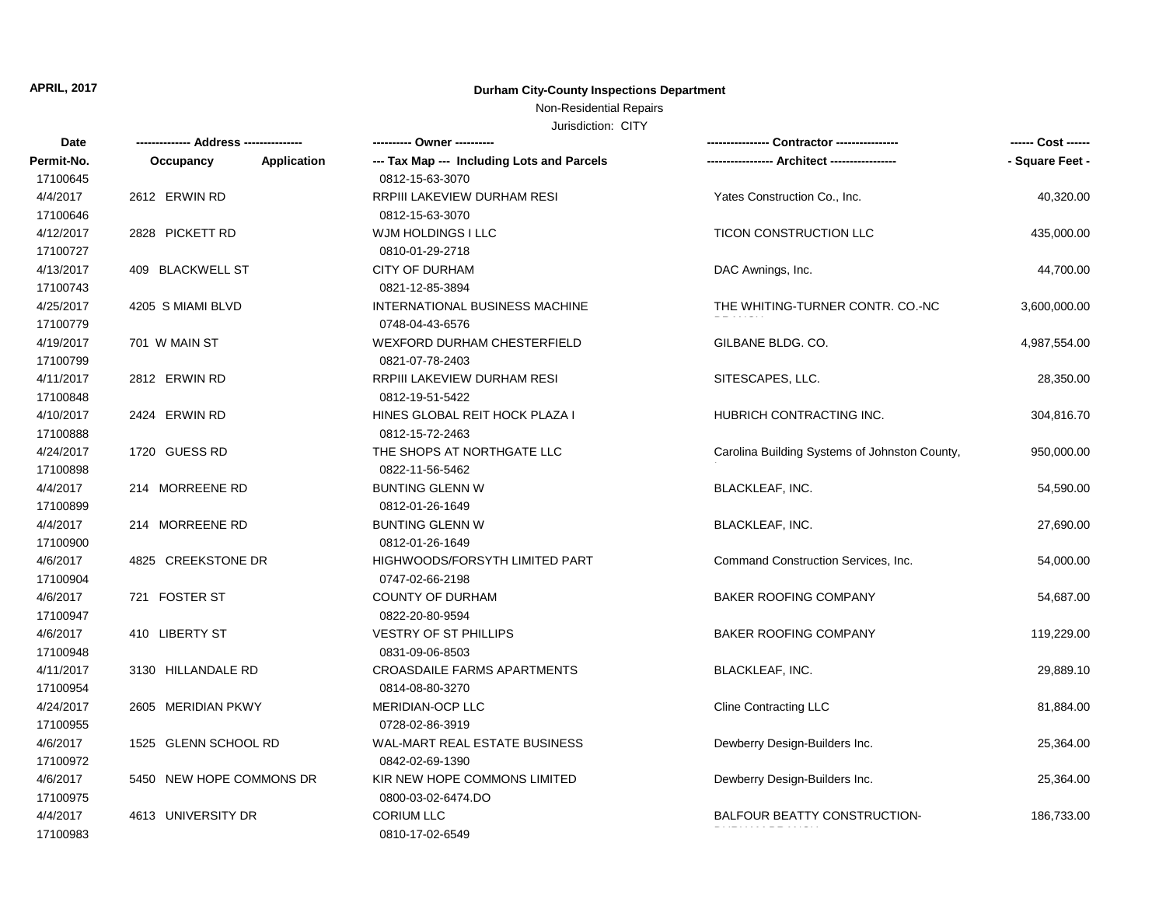## Non-Residential Repairs

| Date       |                          | ---------- Owner ----------                |                                               | ------ Cost ------ |
|------------|--------------------------|--------------------------------------------|-----------------------------------------------|--------------------|
| Permit-No. | Application<br>Occupancy | --- Tax Map --- Including Lots and Parcels |                                               | - Square Feet -    |
| 17100645   |                          | 0812-15-63-3070                            |                                               |                    |
| 4/4/2017   | 2612 ERWIN RD            | RRPIII LAKEVIEW DURHAM RESI                | Yates Construction Co., Inc.                  | 40,320.00          |
| 17100646   |                          | 0812-15-63-3070                            |                                               |                    |
| 4/12/2017  | 2828 PICKETT RD          | WJM HOLDINGS I LLC                         | TICON CONSTRUCTION LLC                        | 435,000.00         |
| 17100727   |                          | 0810-01-29-2718                            |                                               |                    |
| 4/13/2017  | 409 BLACKWELL ST         | <b>CITY OF DURHAM</b>                      | DAC Awnings, Inc.                             | 44,700.00          |
| 17100743   |                          | 0821-12-85-3894                            |                                               |                    |
| 4/25/2017  | 4205 S MIAMI BLVD        | INTERNATIONAL BUSINESS MACHINE             | THE WHITING-TURNER CONTR. CO.-NC              | 3,600,000.00       |
| 17100779   |                          | 0748-04-43-6576                            |                                               |                    |
| 4/19/2017  | 701 W MAIN ST            | <b>WEXFORD DURHAM CHESTERFIELD</b>         | GILBANE BLDG. CO.                             | 4,987,554.00       |
| 17100799   |                          | 0821-07-78-2403                            |                                               |                    |
| 4/11/2017  | 2812 ERWIN RD            | RRPIII LAKEVIEW DURHAM RESI                | SITESCAPES, LLC.                              | 28,350.00          |
| 17100848   |                          | 0812-19-51-5422                            |                                               |                    |
| 4/10/2017  | 2424 ERWIN RD            | HINES GLOBAL REIT HOCK PLAZA I             | <b>HUBRICH CONTRACTING INC.</b>               | 304,816.70         |
| 17100888   |                          | 0812-15-72-2463                            |                                               |                    |
| 4/24/2017  | 1720 GUESS RD            | THE SHOPS AT NORTHGATE LLC                 | Carolina Building Systems of Johnston County, | 950,000.00         |
| 17100898   |                          | 0822-11-56-5462                            |                                               |                    |
| 4/4/2017   | 214 MORREENE RD          | <b>BUNTING GLENN W</b>                     | <b>BLACKLEAF, INC.</b>                        | 54,590.00          |
| 17100899   |                          | 0812-01-26-1649                            |                                               |                    |
| 4/4/2017   | 214 MORREENE RD          | <b>BUNTING GLENN W</b>                     | BLACKLEAF, INC.                               | 27,690.00          |
| 17100900   |                          | 0812-01-26-1649                            |                                               |                    |
| 4/6/2017   | 4825 CREEKSTONE DR       | HIGHWOODS/FORSYTH LIMITED PART             | Command Construction Services, Inc.           | 54,000.00          |
| 17100904   |                          | 0747-02-66-2198                            |                                               |                    |
| 4/6/2017   | 721 FOSTER ST            | COUNTY OF DURHAM                           | BAKER ROOFING COMPANY                         | 54,687.00          |
| 17100947   |                          | 0822-20-80-9594                            |                                               |                    |
| 4/6/2017   | 410 LIBERTY ST           | VESTRY OF ST PHILLIPS                      | <b>BAKER ROOFING COMPANY</b>                  | 119,229.00         |
| 17100948   |                          | 0831-09-06-8503                            |                                               |                    |
| 4/11/2017  | 3130 HILLANDALE RD       | <b>CROASDAILE FARMS APARTMENTS</b>         | BLACKLEAF, INC.                               | 29,889.10          |
| 17100954   |                          | 0814-08-80-3270                            |                                               |                    |
| 4/24/2017  | 2605 MERIDIAN PKWY       | MERIDIAN-OCP LLC                           | <b>Cline Contracting LLC</b>                  | 81,884.00          |
| 17100955   |                          | 0728-02-86-3919                            |                                               |                    |
| 4/6/2017   | 1525 GLENN SCHOOL RD     | WAL-MART REAL ESTATE BUSINESS              | Dewberry Design-Builders Inc.                 | 25,364.00          |
| 17100972   |                          | 0842-02-69-1390                            |                                               |                    |
| 4/6/2017   | 5450 NEW HOPE COMMONS DR | KIR NEW HOPE COMMONS LIMITED               | Dewberry Design-Builders Inc.                 | 25,364.00          |
| 17100975   |                          | 0800-03-02-6474.DO                         |                                               |                    |
| 4/4/2017   | 4613 UNIVERSITY DR       | <b>CORIUM LLC</b>                          | BALFOUR BEATTY CONSTRUCTION-                  | 186,733.00         |
| 17100983   |                          | 0810-17-02-6549                            |                                               |                    |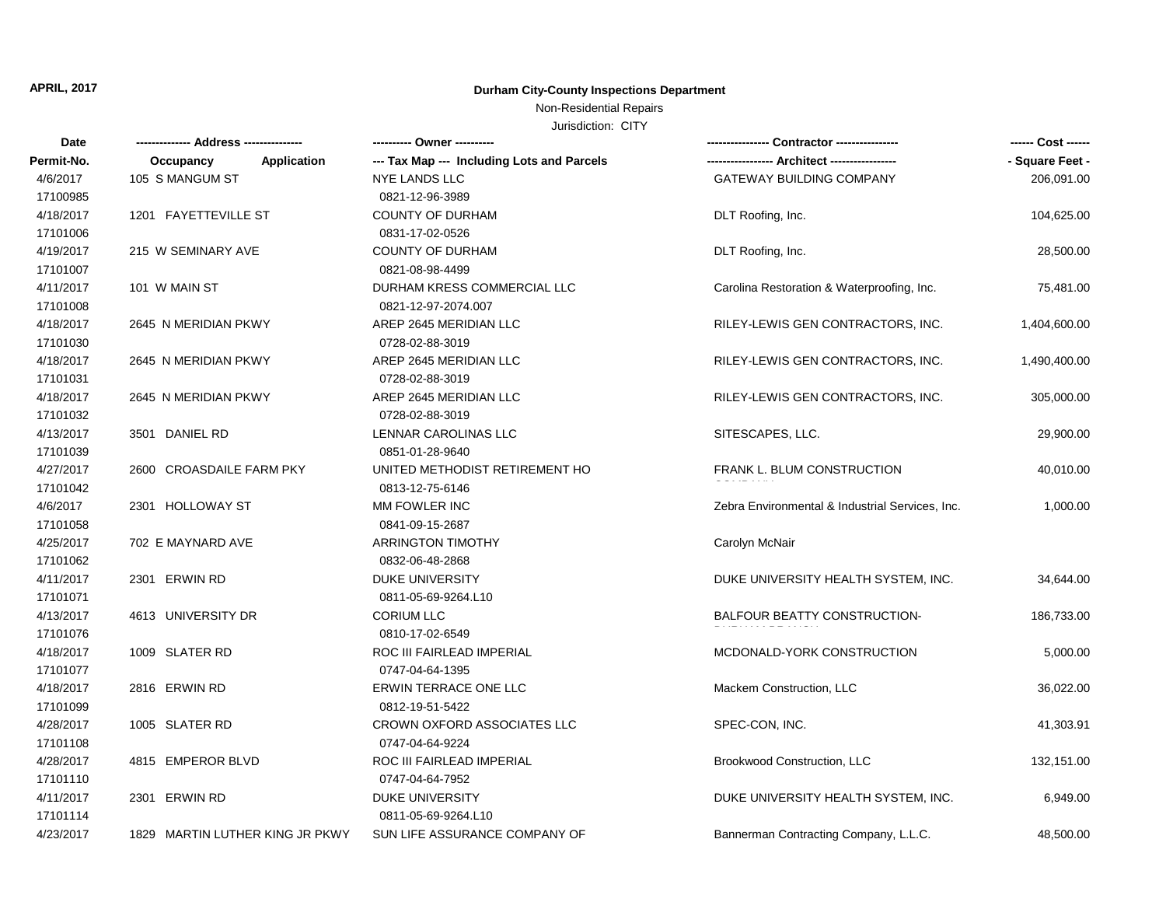# Non-Residential Repairs

| Date       |                                 |                    | ---------- Owner ----------                |                                                 | ------ Cost ------ |
|------------|---------------------------------|--------------------|--------------------------------------------|-------------------------------------------------|--------------------|
| Permit-No. | Occupancy                       | <b>Application</b> | --- Tax Map --- Including Lots and Parcels |                                                 | - Square Feet -    |
| 4/6/2017   | 105 S MANGUM ST                 |                    | <b>NYE LANDS LLC</b>                       | GATEWAY BUILDING COMPANY                        | 206,091.00         |
| 17100985   |                                 |                    | 0821-12-96-3989                            |                                                 |                    |
| 4/18/2017  | 1201 FAYETTEVILLE ST            |                    | <b>COUNTY OF DURHAM</b>                    | DLT Roofing, Inc.                               | 104,625.00         |
| 17101006   |                                 |                    | 0831-17-02-0526                            |                                                 |                    |
| 4/19/2017  | 215 W SEMINARY AVE              |                    | <b>COUNTY OF DURHAM</b>                    | DLT Roofing, Inc.                               | 28,500.00          |
| 17101007   |                                 |                    | 0821-08-98-4499                            |                                                 |                    |
| 4/11/2017  | 101 W MAIN ST                   |                    | DURHAM KRESS COMMERCIAL LLC                | Carolina Restoration & Waterproofing, Inc.      | 75,481.00          |
| 17101008   |                                 |                    | 0821-12-97-2074.007                        |                                                 |                    |
| 4/18/2017  | 2645 N MERIDIAN PKWY            |                    | AREP 2645 MERIDIAN LLC                     | RILEY-LEWIS GEN CONTRACTORS, INC.               | 1,404,600.00       |
| 17101030   |                                 |                    | 0728-02-88-3019                            |                                                 |                    |
| 4/18/2017  | 2645 N MERIDIAN PKWY            |                    | AREP 2645 MERIDIAN LLC                     | RILEY-LEWIS GEN CONTRACTORS, INC.               | 1,490,400.00       |
| 17101031   |                                 |                    | 0728-02-88-3019                            |                                                 |                    |
| 4/18/2017  | 2645 N MERIDIAN PKWY            |                    | AREP 2645 MERIDIAN LLC                     | RILEY-LEWIS GEN CONTRACTORS, INC.               | 305,000.00         |
| 17101032   |                                 |                    | 0728-02-88-3019                            |                                                 |                    |
| 4/13/2017  | 3501 DANIEL RD                  |                    | <b>LENNAR CAROLINAS LLC</b>                | SITESCAPES, LLC.                                | 29,900.00          |
| 17101039   |                                 |                    | 0851-01-28-9640                            |                                                 |                    |
| 4/27/2017  | 2600 CROASDAILE FARM PKY        |                    | UNITED METHODIST RETIREMENT HO             | FRANK L. BLUM CONSTRUCTION                      | 40,010.00          |
| 17101042   |                                 |                    | 0813-12-75-6146                            |                                                 |                    |
| 4/6/2017   | 2301 HOLLOWAY ST                |                    | MM FOWLER INC                              | Zebra Environmental & Industrial Services, Inc. | 1,000.00           |
| 17101058   |                                 |                    | 0841-09-15-2687                            |                                                 |                    |
| 4/25/2017  | 702 E MAYNARD AVE               |                    | <b>ARRINGTON TIMOTHY</b>                   | Carolyn McNair                                  |                    |
| 17101062   |                                 |                    | 0832-06-48-2868                            |                                                 |                    |
| 4/11/2017  | 2301 ERWIN RD                   |                    | <b>DUKE UNIVERSITY</b>                     | DUKE UNIVERSITY HEALTH SYSTEM, INC.             | 34,644.00          |
| 17101071   |                                 |                    | 0811-05-69-9264.L10                        |                                                 |                    |
| 4/13/2017  | 4613 UNIVERSITY DR              |                    | <b>CORIUM LLC</b>                          | BALFOUR BEATTY CONSTRUCTION-                    | 186,733.00         |
| 17101076   |                                 |                    | 0810-17-02-6549                            |                                                 |                    |
| 4/18/2017  | 1009 SLATER RD                  |                    | ROC III FAIRLEAD IMPERIAL                  | MCDONALD-YORK CONSTRUCTION                      | 5,000.00           |
| 17101077   |                                 |                    | 0747-04-64-1395                            |                                                 |                    |
| 4/18/2017  | 2816 ERWIN RD                   |                    | ERWIN TERRACE ONE LLC                      | Mackem Construction, LLC                        | 36,022.00          |
| 17101099   |                                 |                    | 0812-19-51-5422                            |                                                 |                    |
| 4/28/2017  | 1005 SLATER RD                  |                    | CROWN OXFORD ASSOCIATES LLC                | SPEC-CON, INC.                                  | 41,303.91          |
| 17101108   |                                 |                    | 0747-04-64-9224                            |                                                 |                    |
| 4/28/2017  | 4815 EMPEROR BLVD               |                    | ROC III FAIRLEAD IMPERIAL                  | Brookwood Construction, LLC                     | 132,151.00         |
| 17101110   |                                 |                    | 0747-04-64-7952                            |                                                 |                    |
| 4/11/2017  | 2301 ERWIN RD                   |                    | <b>DUKE UNIVERSITY</b>                     | DUKE UNIVERSITY HEALTH SYSTEM, INC.             | 6,949.00           |
| 17101114   |                                 |                    | 0811-05-69-9264.L10                        |                                                 |                    |
| 4/23/2017  | 1829 MARTIN LUTHER KING JR PKWY |                    | SUN LIFE ASSURANCE COMPANY OF              | Bannerman Contracting Company, L.L.C.           | 48,500.00          |